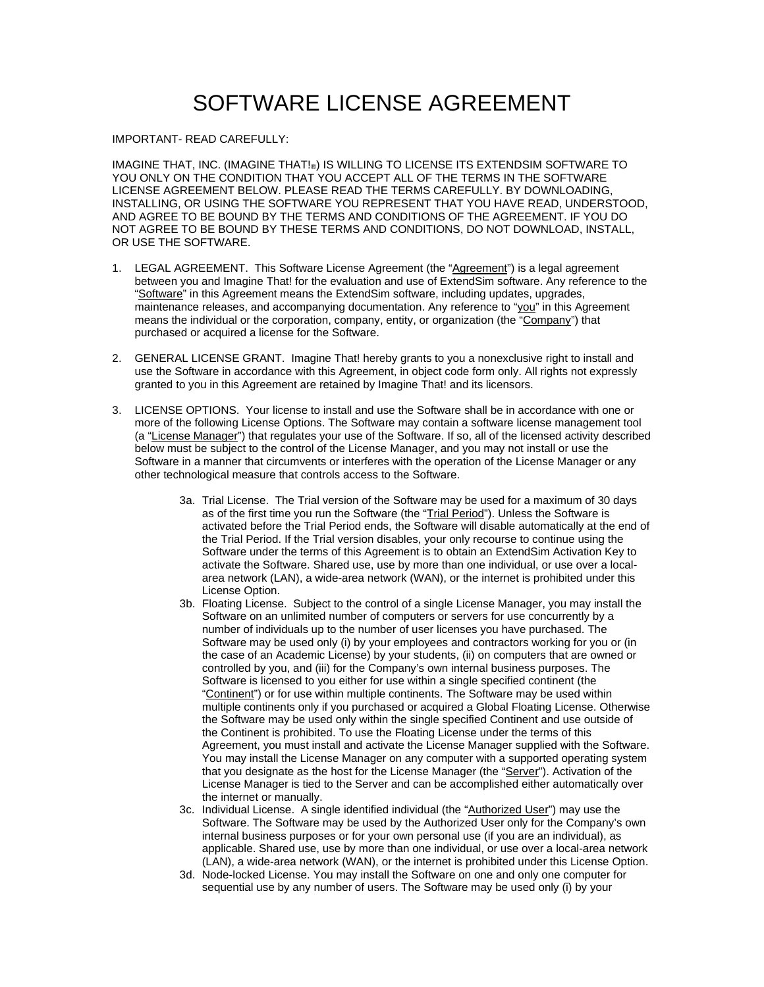## SOFTWARE LICENSE AGREEMENT

## IMPORTANT- READ CAREFULLY:

IMAGINE THAT, INC. (IMAGINE THAT!®) IS WILLING TO LICENSE ITS EXTENDSIM SOFTWARE TO YOU ONLY ON THE CONDITION THAT YOU ACCEPT ALL OF THE TERMS IN THE SOFTWARE LICENSE AGREEMENT BELOW. PLEASE READ THE TERMS CAREFULLY. BY DOWNLOADING, INSTALLING, OR USING THE SOFTWARE YOU REPRESENT THAT YOU HAVE READ, UNDERSTOOD, AND AGREE TO BE BOUND BY THE TERMS AND CONDITIONS OF THE AGREEMENT. IF YOU DO NOT AGREE TO BE BOUND BY THESE TERMS AND CONDITIONS, DO NOT DOWNLOAD, INSTALL, OR USE THE SOFTWARE.

- 1. LEGAL AGREEMENT. This Software License Agreement (the "Agreement") is a legal agreement between you and Imagine That! for the evaluation and use of ExtendSim software. Any reference to the "Software" in this Agreement means the ExtendSim software, including updates, upgrades, maintenance releases, and accompanying documentation. Any reference to "you" in this Agreement means the individual or the corporation, company, entity, or organization (the "Company") that purchased or acquired a license for the Software.
- 2. GENERAL LICENSE GRANT. Imagine That! hereby grants to you a nonexclusive right to install and use the Software in accordance with this Agreement, in object code form only. All rights not expressly granted to you in this Agreement are retained by Imagine That! and its licensors.
- 3. LICENSE OPTIONS. Your license to install and use the Software shall be in accordance with one or more of the following License Options. The Software may contain a software license management tool (a "License Manager") that regulates your use of the Software. If so, all of the licensed activity described below must be subject to the control of the License Manager, and you may not install or use the Software in a manner that circumvents or interferes with the operation of the License Manager or any other technological measure that controls access to the Software.
	- 3a. Trial License. The Trial version of the Software may be used for a maximum of 30 days as of the first time you run the Software (the "Trial Period"). Unless the Software is activated before the Trial Period ends, the Software will disable automatically at the end of the Trial Period. If the Trial version disables, your only recourse to continue using the Software under the terms of this Agreement is to obtain an ExtendSim Activation Key to activate the Software. Shared use, use by more than one individual, or use over a localarea network (LAN), a wide-area network (WAN), or the internet is prohibited under this License Option.
	- 3b. Floating License. Subject to the control of a single License Manager, you may install the Software on an unlimited number of computers or servers for use concurrently by a number of individuals up to the number of user licenses you have purchased. The Software may be used only (i) by your employees and contractors working for you or (in the case of an Academic License) by your students, (ii) on computers that are owned or controlled by you, and (iii) for the Company's own internal business purposes. The Software is licensed to you either for use within a single specified continent (the "Continent") or for use within multiple continents. The Software may be used within multiple continents only if you purchased or acquired a Global Floating License. Otherwise the Software may be used only within the single specified Continent and use outside of the Continent is prohibited. To use the Floating License under the terms of this Agreement, you must install and activate the License Manager supplied with the Software. You may install the License Manager on any computer with a supported operating system that you designate as the host for the License Manager (the "Server"). Activation of the License Manager is tied to the Server and can be accomplished either automatically over the internet or manually.
	- 3c. Individual License. A single identified individual (the "Authorized User") may use the Software. The Software may be used by the Authorized User only for the Company's own internal business purposes or for your own personal use (if you are an individual), as applicable. Shared use, use by more than one individual, or use over a local-area network (LAN), a wide-area network (WAN), or the internet is prohibited under this License Option.
	- 3d. Node-locked License. You may install the Software on one and only one computer for sequential use by any number of users. The Software may be used only (i) by your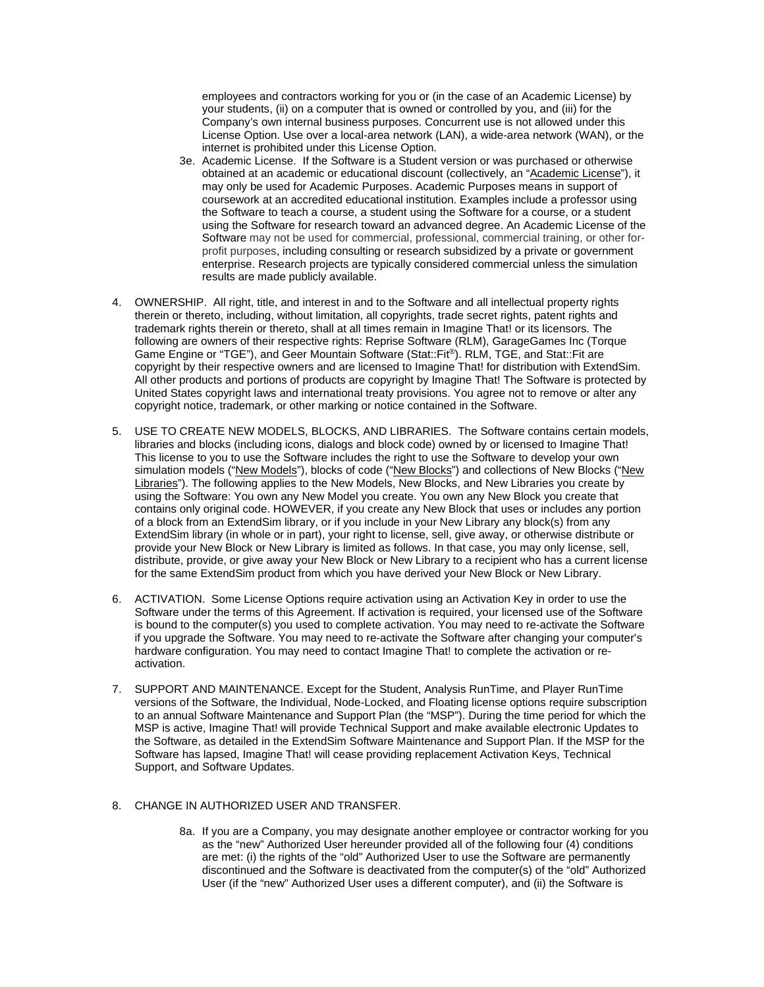employees and contractors working for you or (in the case of an Academic License) by your students, (ii) on a computer that is owned or controlled by you, and (iii) for the Company's own internal business purposes. Concurrent use is not allowed under this License Option. Use over a local-area network (LAN), a wide-area network (WAN), or the internet is prohibited under this License Option.

- 3e. Academic License. If the Software is a Student version or was purchased or otherwise obtained at an academic or educational discount (collectively, an "Academic License"), it may only be used for Academic Purposes. Academic Purposes means in support of coursework at an accredited educational institution. Examples include a professor using the Software to teach a course, a student using the Software for a course, or a student using the Software for research toward an advanced degree. An Academic License of the Software may not be used for commercial, professional, commercial training, or other forprofit purposes, including consulting or research subsidized by a private or government enterprise. Research projects are typically considered commercial unless the simulation results are made publicly available.
- 4. OWNERSHIP. All right, title, and interest in and to the Software and all intellectual property rights therein or thereto, including, without limitation, all copyrights, trade secret rights, patent rights and trademark rights therein or thereto, shall at all times remain in Imagine That! or its licensors. The following are owners of their respective rights: Reprise Software (RLM), GarageGames Inc (Torque Game Engine or "TGE"), and Geer Mountain Software (Stat::Fit®). RLM, TGE, and Stat::Fit are copyright by their respective owners and are licensed to Imagine That! for distribution with ExtendSim. All other products and portions of products are copyright by Imagine That! The Software is protected by United States copyright laws and international treaty provisions. You agree not to remove or alter any copyright notice, trademark, or other marking or notice contained in the Software.
- 5. USE TO CREATE NEW MODELS, BLOCKS, AND LIBRARIES. The Software contains certain models, libraries and blocks (including icons, dialogs and block code) owned by or licensed to Imagine That! This license to you to use the Software includes the right to use the Software to develop your own simulation models ("New Models"), blocks of code ("New Blocks") and collections of New Blocks ("New Libraries"). The following applies to the New Models, New Blocks, and New Libraries you create by using the Software: You own any New Model you create. You own any New Block you create that contains only original code. HOWEVER, if you create any New Block that uses or includes any portion of a block from an ExtendSim library, or if you include in your New Library any block(s) from any ExtendSim library (in whole or in part), your right to license, sell, give away, or otherwise distribute or provide your New Block or New Library is limited as follows. In that case, you may only license, sell, distribute, provide, or give away your New Block or New Library to a recipient who has a current license for the same ExtendSim product from which you have derived your New Block or New Library.
- 6. ACTIVATION. Some License Options require activation using an Activation Key in order to use the Software under the terms of this Agreement. If activation is required, your licensed use of the Software is bound to the computer(s) you used to complete activation. You may need to re-activate the Software if you upgrade the Software. You may need to re-activate the Software after changing your computer's hardware configuration. You may need to contact Imagine That! to complete the activation or reactivation.
- 7. SUPPORT AND MAINTENANCE. Except for the Student, Analysis RunTime, and Player RunTime versions of the Software, the Individual, Node-Locked, and Floating license options require subscription to an annual Software Maintenance and Support Plan (the "MSP"). During the time period for which the MSP is active, Imagine That! will provide Technical Support and make available electronic Updates to the Software, as detailed in the ExtendSim Software Maintenance and Support Plan. If the MSP for the Software has lapsed, Imagine That! will cease providing replacement Activation Keys, Technical Support, and Software Updates.

## 8. CHANGE IN AUTHORIZED USER AND TRANSFER.

8a. If you are a Company, you may designate another employee or contractor working for you as the "new" Authorized User hereunder provided all of the following four (4) conditions are met: (i) the rights of the "old" Authorized User to use the Software are permanently discontinued and the Software is deactivated from the computer(s) of the "old" Authorized User (if the "new" Authorized User uses a different computer), and (ii) the Software is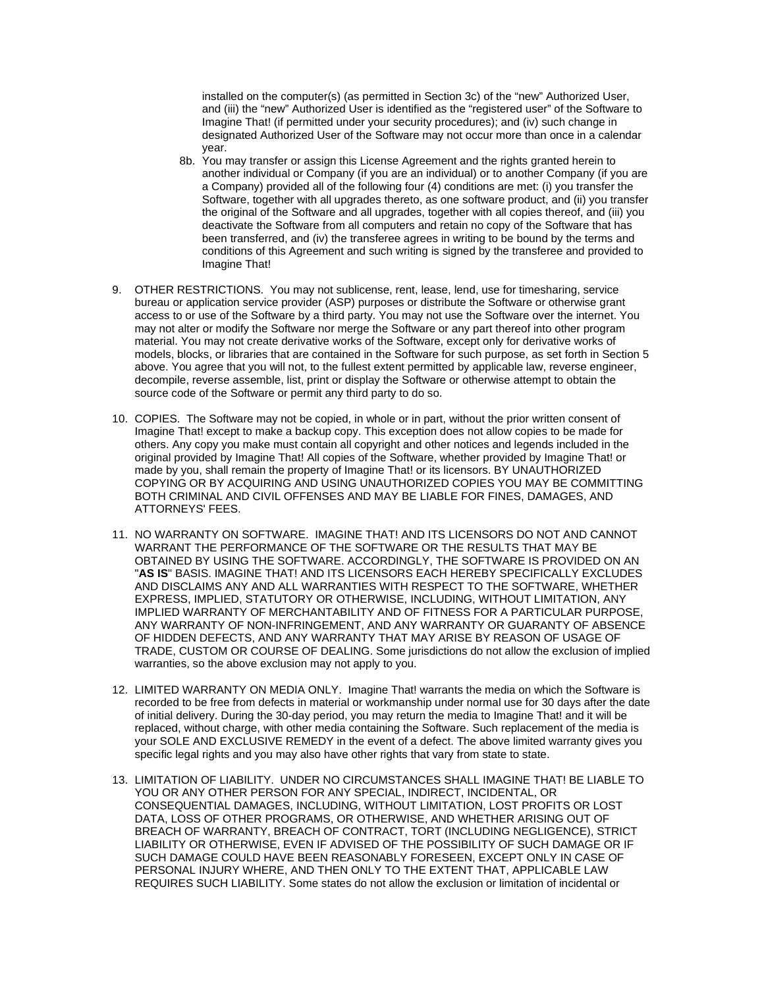installed on the computer(s) (as permitted in Section 3c) of the "new" Authorized User, and (iii) the "new" Authorized User is identified as the "registered user" of the Software to Imagine That! (if permitted under your security procedures); and (iv) such change in designated Authorized User of the Software may not occur more than once in a calendar year.

- 8b. You may transfer or assign this License Agreement and the rights granted herein to another individual or Company (if you are an individual) or to another Company (if you are a Company) provided all of the following four (4) conditions are met: (i) you transfer the Software, together with all upgrades thereto, as one software product, and (ii) you transfer the original of the Software and all upgrades, together with all copies thereof, and (iii) you deactivate the Software from all computers and retain no copy of the Software that has been transferred, and (iv) the transferee agrees in writing to be bound by the terms and conditions of this Agreement and such writing is signed by the transferee and provided to Imagine That!
- 9. OTHER RESTRICTIONS. You may not sublicense, rent, lease, lend, use for timesharing, service bureau or application service provider (ASP) purposes or distribute the Software or otherwise grant access to or use of the Software by a third party. You may not use the Software over the internet. You may not alter or modify the Software nor merge the Software or any part thereof into other program material. You may not create derivative works of the Software, except only for derivative works of models, blocks, or libraries that are contained in the Software for such purpose, as set forth in Section 5 above. You agree that you will not, to the fullest extent permitted by applicable law, reverse engineer, decompile, reverse assemble, list, print or display the Software or otherwise attempt to obtain the source code of the Software or permit any third party to do so.
- 10. COPIES. The Software may not be copied, in whole or in part, without the prior written consent of Imagine That! except to make a backup copy. This exception does not allow copies to be made for others. Any copy you make must contain all copyright and other notices and legends included in the original provided by Imagine That! All copies of the Software, whether provided by Imagine That! or made by you, shall remain the property of Imagine That! or its licensors. BY UNAUTHORIZED COPYING OR BY ACQUIRING AND USING UNAUTHORIZED COPIES YOU MAY BE COMMITTING BOTH CRIMINAL AND CIVIL OFFENSES AND MAY BE LIABLE FOR FINES, DAMAGES, AND ATTORNEYS' FEES.
- 11. NO WARRANTY ON SOFTWARE. IMAGINE THAT! AND ITS LICENSORS DO NOT AND CANNOT WARRANT THE PERFORMANCE OF THE SOFTWARE OR THE RESULTS THAT MAY BE OBTAINED BY USING THE SOFTWARE. ACCORDINGLY, THE SOFTWARE IS PROVIDED ON AN "**AS IS**" BASIS. IMAGINE THAT! AND ITS LICENSORS EACH HEREBY SPECIFICALLY EXCLUDES AND DISCLAIMS ANY AND ALL WARRANTIES WITH RESPECT TO THE SOFTWARE, WHETHER EXPRESS, IMPLIED, STATUTORY OR OTHERWISE, INCLUDING, WITHOUT LIMITATION, ANY IMPLIED WARRANTY OF MERCHANTABILITY AND OF FITNESS FOR A PARTICULAR PURPOSE, ANY WARRANTY OF NON-INFRINGEMENT, AND ANY WARRANTY OR GUARANTY OF ABSENCE OF HIDDEN DEFECTS, AND ANY WARRANTY THAT MAY ARISE BY REASON OF USAGE OF TRADE, CUSTOM OR COURSE OF DEALING. Some jurisdictions do not allow the exclusion of implied warranties, so the above exclusion may not apply to you.
- 12. LIMITED WARRANTY ON MEDIA ONLY. Imagine That! warrants the media on which the Software is recorded to be free from defects in material or workmanship under normal use for 30 days after the date of initial delivery. During the 30-day period, you may return the media to Imagine That! and it will be replaced, without charge, with other media containing the Software. Such replacement of the media is your SOLE AND EXCLUSIVE REMEDY in the event of a defect. The above limited warranty gives you specific legal rights and you may also have other rights that vary from state to state.
- 13. LIMITATION OF LIABILITY. UNDER NO CIRCUMSTANCES SHALL IMAGINE THAT! BE LIABLE TO YOU OR ANY OTHER PERSON FOR ANY SPECIAL, INDIRECT, INCIDENTAL, OR CONSEQUENTIAL DAMAGES, INCLUDING, WITHOUT LIMITATION, LOST PROFITS OR LOST DATA, LOSS OF OTHER PROGRAMS, OR OTHERWISE, AND WHETHER ARISING OUT OF BREACH OF WARRANTY, BREACH OF CONTRACT, TORT (INCLUDING NEGLIGENCE), STRICT LIABILITY OR OTHERWISE, EVEN IF ADVISED OF THE POSSIBILITY OF SUCH DAMAGE OR IF SUCH DAMAGE COULD HAVE BEEN REASONABLY FORESEEN, EXCEPT ONLY IN CASE OF PERSONAL INJURY WHERE, AND THEN ONLY TO THE EXTENT THAT, APPLICABLE LAW REQUIRES SUCH LIABILITY. Some states do not allow the exclusion or limitation of incidental or